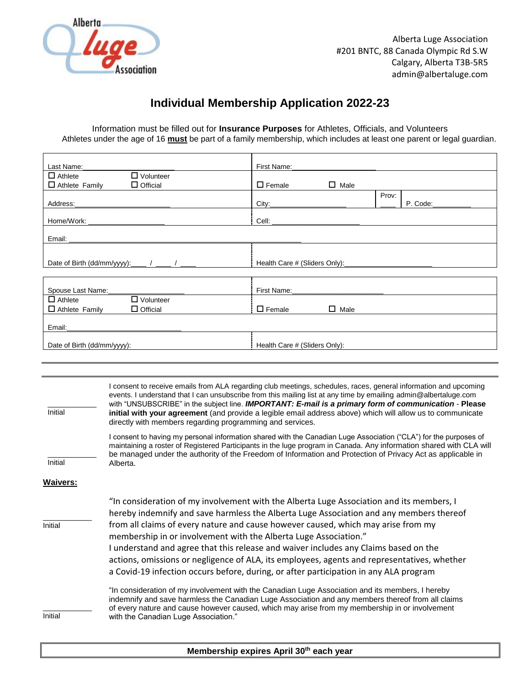

# **Individual Membership Application 2022-23**

Information must be filled out for **Insurance Purposes** for Athletes, Officials, and Volunteers Athletes under the age of 16 **must** be part of a family membership, which includes at least one parent or legal guardian.

| Last Name:                                                |                                                                                                                                                                                                                                                                                                                                                                                                                                                                                                                                                                                                                                                                                                                                  | First Name:                   |                |       |          |
|-----------------------------------------------------------|----------------------------------------------------------------------------------------------------------------------------------------------------------------------------------------------------------------------------------------------------------------------------------------------------------------------------------------------------------------------------------------------------------------------------------------------------------------------------------------------------------------------------------------------------------------------------------------------------------------------------------------------------------------------------------------------------------------------------------|-------------------------------|----------------|-------|----------|
| $\Box$ Athlete                                            | $\Box$ Volunteer                                                                                                                                                                                                                                                                                                                                                                                                                                                                                                                                                                                                                                                                                                                 |                               |                |       |          |
| □ Athlete Family                                          | $\Box$ Official                                                                                                                                                                                                                                                                                                                                                                                                                                                                                                                                                                                                                                                                                                                  | $\Box$ Female                 | $\square$ Male |       |          |
| Address:                                                  |                                                                                                                                                                                                                                                                                                                                                                                                                                                                                                                                                                                                                                                                                                                                  | City:                         |                | Prov: | P. Code: |
| Home/Work:                                                |                                                                                                                                                                                                                                                                                                                                                                                                                                                                                                                                                                                                                                                                                                                                  | Cell:                         |                |       |          |
| Email:                                                    |                                                                                                                                                                                                                                                                                                                                                                                                                                                                                                                                                                                                                                                                                                                                  |                               |                |       |          |
| Date of Birth (dd/mm/yyyy): $\frac{1}{2}$ / $\frac{1}{2}$ |                                                                                                                                                                                                                                                                                                                                                                                                                                                                                                                                                                                                                                                                                                                                  |                               |                |       |          |
| Spouse Last Name:                                         |                                                                                                                                                                                                                                                                                                                                                                                                                                                                                                                                                                                                                                                                                                                                  | First Name:                   |                |       |          |
| $\Box$ Athlete<br>$\Box$ Athlete Family                   | $\Box$ Volunteer<br>$\Box$ Official                                                                                                                                                                                                                                                                                                                                                                                                                                                                                                                                                                                                                                                                                              | $\Box$ Female                 | $\Box$ Male    |       |          |
| Email:                                                    |                                                                                                                                                                                                                                                                                                                                                                                                                                                                                                                                                                                                                                                                                                                                  |                               |                |       |          |
| Date of Birth (dd/mm/yyyy):                               |                                                                                                                                                                                                                                                                                                                                                                                                                                                                                                                                                                                                                                                                                                                                  | Health Care # (Sliders Only): |                |       |          |
|                                                           |                                                                                                                                                                                                                                                                                                                                                                                                                                                                                                                                                                                                                                                                                                                                  |                               |                |       |          |
|                                                           |                                                                                                                                                                                                                                                                                                                                                                                                                                                                                                                                                                                                                                                                                                                                  |                               |                |       |          |
| Initial                                                   | I consent to receive emails from ALA regarding club meetings, schedules, races, general information and upcoming<br>events. I understand that I can unsubscribe from this mailing list at any time by emailing admin@albertaluge.com<br>with "UNSUBSCRIBE" in the subject line. IMPORTANT: E-mail is a primary form of communication - Please<br>initial with your agreement (and provide a legible email address above) which will allow us to communicate<br>directly with members regarding programming and services.                                                                                                                                                                                                         |                               |                |       |          |
| Initial                                                   | I consent to having my personal information shared with the Canadian Luge Association ("CLA") for the purposes of<br>maintaining a roster of Registered Participants in the luge program in Canada. Any information shared with CLA will<br>be managed under the authority of the Freedom of Information and Protection of Privacy Act as applicable in<br>Alberta.                                                                                                                                                                                                                                                                                                                                                              |                               |                |       |          |
| <b>Waivers:</b>                                           |                                                                                                                                                                                                                                                                                                                                                                                                                                                                                                                                                                                                                                                                                                                                  |                               |                |       |          |
| Initial                                                   | "In consideration of my involvement with the Alberta Luge Association and its members, I<br>hereby indemnify and save harmless the Alberta Luge Association and any members thereof<br>from all claims of every nature and cause however caused, which may arise from my<br>membership in or involvement with the Alberta Luge Association."<br>I understand and agree that this release and waiver includes any Claims based on the<br>actions, omissions or negligence of ALA, its employees, agents and representatives, whether<br>a Covid-19 infection occurs before, during, or after participation in any ALA program<br>"In consideration of my involvement with the Canadian Luge Association and its members, I hereby |                               |                |       |          |
| Initial                                                   | indemnify and save harmless the Canadian Luge Association and any members thereof from all claims<br>of every nature and cause however caused, which may arise from my membership in or involvement<br>with the Canadian Luge Association."                                                                                                                                                                                                                                                                                                                                                                                                                                                                                      |                               |                |       |          |